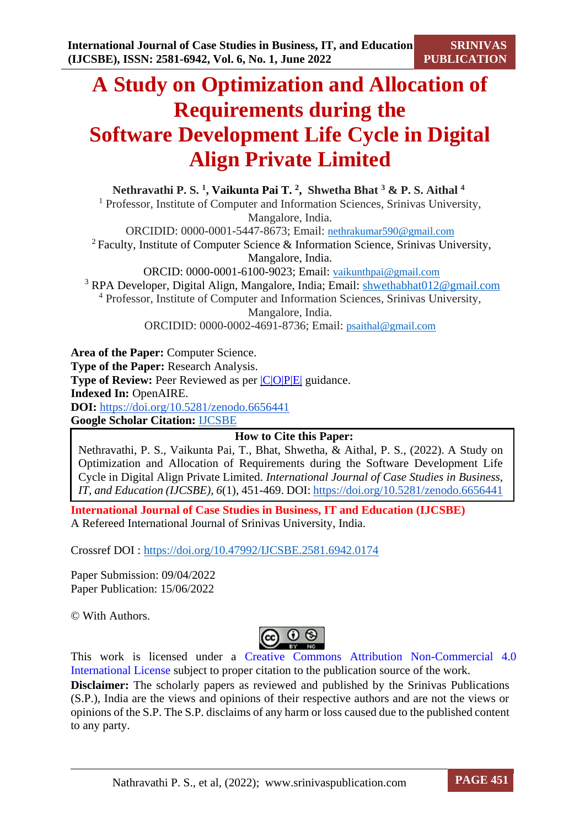**SRINIVAS PUBLICATION**

# **A Study on Optimization and Allocation of Requirements during the Software Development Life Cycle in Digital Align Private Limited**

**Nethravathi P. S. 1 , Vaikunta Pai T. 2 , Shwetha Bhat <sup>3</sup> & P. S. Aithal <sup>4</sup>** <sup>1</sup> Professor, Institute of Computer and Information Sciences, Srinivas University, Mangalore, India. ORCIDID: 0000-0001-5447-8673; Email: [nethrakumar590@gmail.com](mailto:nethrakumar590@gmail.com) <sup>2</sup>Faculty, Institute of Computer Science & Information Science, Srinivas University, Mangalore, India. ORCID: 0000-0001-6100-9023; Email: [vaikunthpai@gmail.com](mailto:vaikunthpai@gmail.com) <sup>3</sup> RPA Developer, Digital Align, Mangalore, India; Email: [shwethabhat012@gmail.com](mailto:shwethabhat012@gmail.com) <sup>4</sup> Professor, Institute of Computer and Information Sciences, Srinivas University, Mangalore, India.

ORCIDID: 0000-0002-4691-8736; Email: [psaithal@gmail.com](mailto:psaithal@gmail.com)

**Area of the Paper:** Computer Science. **Type of the Paper:** Research Analysis. **Type of Review:** Peer Reviewed as per  $|C|O|P|E|$  guidance. **Indexed In:** OpenAIRE. **DOI:** <https://doi.org/10.5281/zenodo.6656441> **Google Scholar Citation:** [IJCSBE](https://scholar.google.com/citations?user=yGYPA1MAAAAJ)

**How to Cite this Paper:**

Nethravathi, P. S., Vaikunta Pai, T., Bhat, Shwetha, & Aithal, P. S., (2022). A Study on Optimization and Allocation of Requirements during the Software Development Life Cycle in Digital Align Private Limited. *International Journal of Case Studies in Business, IT, and Education (IJCSBE), 6*(1), 451-469. DOI: <https://doi.org/10.5281/zenodo.6656441>

**International Journal of Case Studies in Business, IT and Education (IJCSBE)** A Refereed International Journal of Srinivas University, India.

Crossref DOI : [https://doi.org/10.47992/IJCSBE.2581.6942.0174](https://search.crossref.org/?q=10.47992%2FIJCSBE.2581.6942.0174&from_ui=yes)

Paper Submission: 09/04/2022 Paper Publication: 15/06/2022

© With Authors.



This work is licensed under a Creative Commons Attribution Non-Commercial 4.0 International License subject to proper citation to the publication source of the work. **Disclaimer:** The scholarly papers as reviewed and published by the Srinivas Publications (S.P.), India are the views and opinions of their respective authors and are not the views or opinions of the S.P. The S.P. disclaims of any harm or loss caused due to the published content to any party.

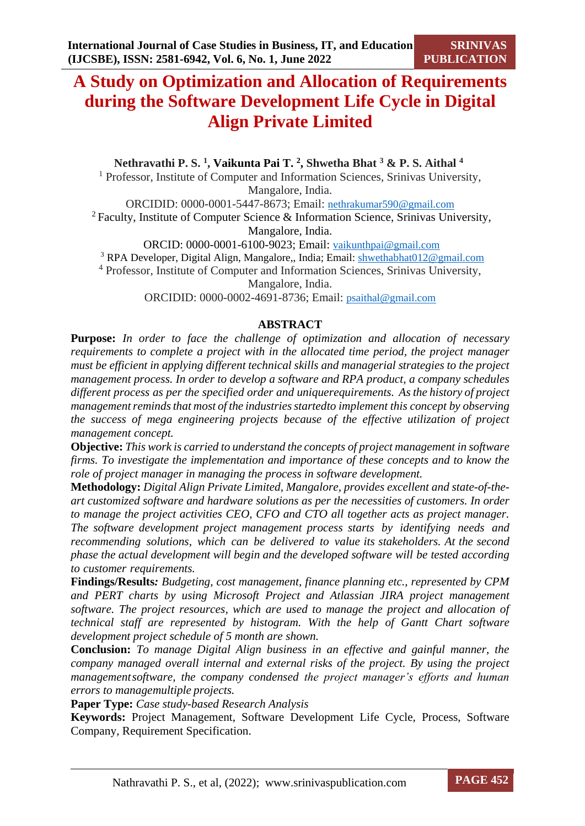## **A Study on Optimization and Allocation of Requirements during the Software Development Life Cycle in Digital Align Private Limited**

**Nethravathi P. S. 1 , Vaikunta Pai T. 2 , Shwetha Bhat <sup>3</sup> & P. S. Aithal <sup>4</sup>**

<sup>1</sup> Professor, Institute of Computer and Information Sciences, Srinivas University, Mangalore, India.

ORCIDID: 0000-0001-5447-8673; Email: [nethrakumar590@gmail.com](mailto:nethrakumar590@gmail.com)

<sup>2</sup>Faculty, Institute of Computer Science & Information Science, Srinivas University, Mangalore, India.

ORCID: 0000-0001-6100-9023; Email: [vaikunthpai@gmail.com](mailto:vaikunthpai@gmail.com)

<sup>3</sup> RPA Developer, Digital Align, Mangalore,, India; Email: [shwethabhat012@gmail.com](mailto:shwethabhat012@gmail.com)

<sup>4</sup> Professor, Institute of Computer and Information Sciences, Srinivas University,

Mangalore, India.

ORCIDID: 0000-0002-4691-8736; Email: [psaithal@gmail.com](mailto:psaithal@gmail.com)

## **ABSTRACT**

**Purpose:** *In order to face the challenge of optimization and allocation of necessary requirements to complete a project with in the allocated time period, the project manager must be efficient in applying different technical skills and managerial strategies to the project management process. In order to develop a software and RPA product, a company schedules different process as per the specified order and uniquerequirements. As the history of project management reminds that most of the industries startedto implement this concept by observing the success of mega engineering projects because of the effective utilization of project management concept.*

**Objective:** *This work is carried to understand the concepts of project management in software firms. To investigate the implementation and importance of these concepts and to know the role of project manager in managing the process in software development.*

**Methodology:** *Digital Align Private Limited, Mangalore, provides excellent and state-of-theart customized software and hardware solutions as per the necessities of customers. In order to manage the project activities CEO, CFO and CTO all together acts as project manager. The software development project management process starts by identifying needs and recommending solutions, which can be delivered to value its stakeholders. At the second phase the actual development will begin and the developed software will be tested according to customer requirements.*

**Findings/Results***: Budgeting, cost management, finance planning etc., represented by CPM and PERT charts by using Microsoft Project and Atlassian JIRA project management software. The project resources, which are used to manage the project and allocation of technical staff are represented by histogram. With the help of Gantt Chart software development project schedule of 5 month are shown.*

**Conclusion:** *To manage Digital Align business in an effective and gainful manner, the company managed overall internal and external risks of the project. By using the project managementsoftware, the company condensed the project manager's efforts and human errors to managemultiple projects.*

**Paper Type:** *Case study-based Research Analysis*

**Keywords:** Project Management, Software Development Life Cycle, Process, Software Company, Requirement Specification.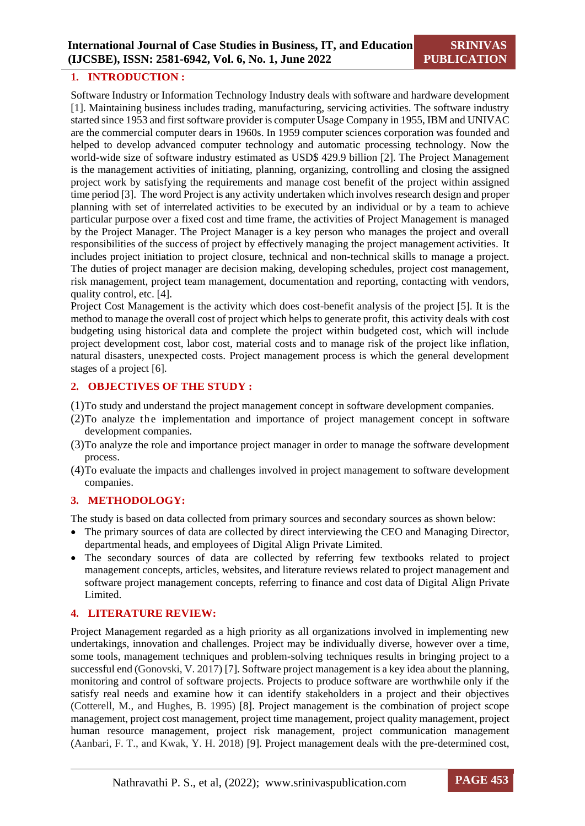## **1. INTRODUCTION :**

Software Industry or Information Technology Industry deals with software and hardware development [1]. Maintaining business includes trading, manufacturing, servicing activities. The software industry started since 1953 and first software provider is computer Usage Company in 1955, IBM and UNIVAC are the commercial computer dears in 1960s. In 1959 computer sciences corporation was founded and helped to develop advanced computer technology and automatic processing technology. Now the world-wide size of software industry estimated as USD\$ 429.9 billion [2]. The Project Management is the management activities of initiating, planning, organizing, controlling and closing the assigned project work by satisfying the requirements and manage cost benefit of the project within assigned time period [3]. The word Project is any activity undertaken which involves research design and proper planning with set of interrelated activities to be executed by an individual or by a team to achieve particular purpose over a fixed cost and time frame, the activities of Project Management is managed by the Project Manager. The Project Manager is a key person who manages the project and overall responsibilities of the success of project by effectively managing the project management activities. It includes project initiation to project closure, technical and non-technical skills to manage a project. The duties of project manager are decision making, developing schedules, project cost management, risk management, project team management, documentation and reporting, contacting with vendors, quality control, etc. [4].

Project Cost Management is the activity which does cost-benefit analysis of the project [5]. It is the method to manage the overall cost of project which helps to generate profit, this activity deals with cost budgeting using historical data and complete the project within budgeted cost, which will include project development cost, labor cost, material costs and to manage risk of the project like inflation, natural disasters, unexpected costs. Project management process is which the general development stages of a project [6].

## **2. OBJECTIVES OF THE STUDY :**

(1)To study and understand the project management concept in software development companies.

- (2)To analyze the implementation and importance of project management concept in software development companies.
- (3)To analyze the role and importance project manager in order to manage the software development process.
- (4)To evaluate the impacts and challenges involved in project management to software development companies.

#### **3. METHODOLOGY:**

The study is based on data collected from primary sources and secondary sources as shown below:

- The primary sources of data are collected by direct interviewing the CEO and Managing Director. departmental heads, and employees of Digital Align Private Limited.
- The secondary sources of data are collected by referring few textbooks related to project management concepts, articles, websites, and literature reviews related to project management and software project management concepts, referring to finance and cost data of Digital Align Private Limited.

## **4. LITERATURE REVIEW:**

Project Management regarded as a high priority as all organizations involved in implementing new undertakings, innovation and challenges. Project may be individually diverse, however over a time, some tools, management techniques and problem-solving techniques results in bringing project to a successful end (Gonovski, V. 2017) [7]. Software project management is a key idea about the planning, monitoring and control of software projects. Projects to produce software are worthwhile only if the satisfy real needs and examine how it can identify stakeholders in a project and their objectives (Cotterell, M., and Hughes, B. 1995) [8]. Project management is the combination of project scope management, project cost management, project time management, project quality management, project human resource management, project risk management, project communication management (Aanbari, F. T., and Kwak, Y. H. 2018) [9]. Project management deals with the pre-determined cost,

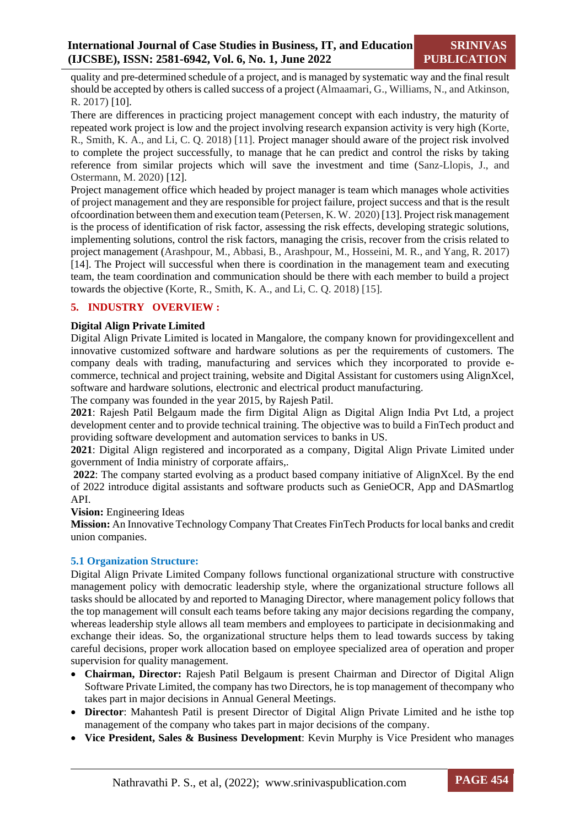quality and pre-determined schedule of a project, and is managed by systematic way and the final result should be accepted by others is called success of a project (Almaamari, G., Williams, N., and Atkinson, R. 2017) [10].

There are differences in practicing project management concept with each industry, the maturity of repeated work project is low and the project involving research expansion activity is very high (Korte, R., Smith, K. A., and Li, C. Q. 2018) [11]. Project manager should aware of the project risk involved to complete the project successfully, to manage that he can predict and control the risks by taking reference from similar projects which will save the investment and time (Sanz-Llopis, J., and Ostermann, M. 2020) [12].

Project management office which headed by project manager is team which manages whole activities of project management and they are responsible for project failure, project success and that is the result ofcoordination between them and execution team(Petersen, K. W. 2020) [13]. Project risk management is the process of identification of risk factor, assessing the risk effects, developing strategic solutions, implementing solutions, control the risk factors, managing the crisis, recover from the crisis related to project management (Arashpour, M., Abbasi, B., Arashpour, M., Hosseini, M. R., and Yang, R. 2017) [14]. The Project will successful when there is coordination in the management team and executing team, the team coordination and communication should be there with each member to build a project towards the objective (Korte, R., Smith, K. A., and Li, C. Q. 2018) [15].

## **5. INDUSTRY OVERVIEW :**

## **Digital Align Private Limited**

Digital Align Private Limited is located in Mangalore, the company known for providingexcellent and innovative customized software and hardware solutions as per the requirements of customers. The company deals with trading, manufacturing and services which they incorporated to provide ecommerce, technical and project training, website and Digital Assistant for customers using AlignXcel, software and hardware solutions, electronic and electrical product manufacturing.

The company was founded in the year 2015, by Rajesh Patil.

**2021**: Rajesh Patil Belgaum made the firm Digital Align as Digital Align India Pvt Ltd, a project development center and to provide technical training. The objective was to build a FinTech product and providing software development and automation services to banks in US.

**2021**: Digital Align registered and incorporated as a company, Digital Align Private Limited under government of India ministry of corporate affairs,.

**2022**: The company started evolving as a product based company initiative of AlignXcel. By the end of 2022 introduce digital assistants and software products such as GenieOCR, App and DASmartlog API.

**Vision:** Engineering Ideas

**Mission:** An Innovative Technology Company That Creates FinTech Products for local banks and credit union companies.

#### **5.1 Organization Structure:**

Digital Align Private Limited Company follows functional organizational structure with constructive management policy with democratic leadership style, where the organizational structure follows all tasks should be allocated by and reported to Managing Director, where management policy follows that the top management will consult each teams before taking any major decisions regarding the company, whereas leadership style allows all team members and employees to participate in decisionmaking and exchange their ideas. So, the organizational structure helps them to lead towards success by taking careful decisions, proper work allocation based on employee specialized area of operation and proper supervision for quality management.

- **Chairman, Director:** Rajesh Patil Belgaum is present Chairman and Director of Digital Align Software Private Limited, the company has two Directors, he istop management of thecompany who takes part in major decisions in Annual General Meetings.
- **Director**: Mahantesh Patil is present Director of Digital Align Private Limited and he isthe top management of the company who takes part in major decisions of the company.
- **Vice President, Sales & Business Development**: Kevin Murphy is Vice President who manages

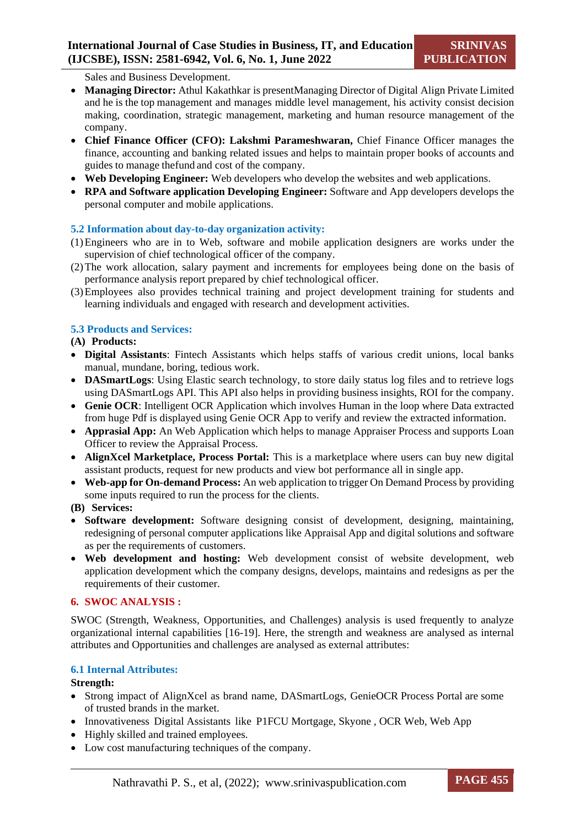Sales and Business Development.

- **Managing Director:** Athul Kakathkar is presentManaging Director of Digital Align Private Limited and he is the top management and manages middle level management, his activity consist decision making, coordination, strategic management, marketing and human resource management of the company.
- **Chief Finance Officer (CFO): Lakshmi Parameshwaran,** Chief Finance Officer manages the finance, accounting and banking related issues and helps to maintain proper books of accounts and guides to manage thefund and cost of the company.
- **Web Developing Engineer:** Web developers who develop the websites and web applications.
- **RPA and Software application Developing Engineer:** Software and App developers develops the personal computer and mobile applications.

## **5.2 Information about day-to-day organization activity:**

- (1)Engineers who are in to Web, software and mobile application designers are works under the supervision of chief technological officer of the company.
- (2)The work allocation, salary payment and increments for employees being done on the basis of performance analysis report prepared by chief technological officer.
- (3)Employees also provides technical training and project development training for students and learning individuals and engaged with research and development activities.

## **5.3 Products and Services:**

**(A) Products:**

- **Digital Assistants**: Fintech Assistants which helps staffs of various credit unions, local banks manual, mundane, boring, tedious work.
- **DASmartLogs**: Using Elastic search technology, to store daily status log files and to retrieve logs using DASmartLogs API. This API also helps in providing business insights, ROI for the company.
- **Genie OCR**: Intelligent OCR Application which involves Human in the loop where Data extracted from huge Pdf is displayed using Genie OCR App to verify and review the extracted information.
- **Apprasial App:** An Web Application which helps to manage Appraiser Process and supports Loan Officer to review the Appraisal Process.
- **AlignXcel Marketplace, Process Portal:** This is a marketplace where users can buy new digital assistant products, request for new products and view bot performance all in single app.
- **Web-app for On-demand Process:** An web application to trigger On Demand Process by providing some inputs required to run the process for the clients.

**(B) Services:**

- **Software development:** Software designing consist of development, designing, maintaining, redesigning of personal computer applications like Appraisal App and digital solutions and software as per the requirements of customers.
- **Web development and hosting:** Web development consist of website development, web application development which the company designs, develops, maintains and redesigns as per the requirements of their customer.

#### **6. SWOC ANALYSIS :**

SWOC (Strength, Weakness, Opportunities, and Challenges) analysis is used frequently to analyze organizational internal capabilities [16-19]. Here, the strength and weakness are analysed as internal attributes and Opportunities and challenges are analysed as external attributes:

#### **6.1 Internal Attributes:**

**Strength:**

- Strong impact of AlignXcel as brand name, DASmartLogs, GenieOCR Process Portal are some of trusted brands in the market.
- Innovativeness Digital Assistants like P1FCU Mortgage, Skyone, OCR Web, Web App
- Highly skilled and trained employees.
- Low cost manufacturing techniques of the company.

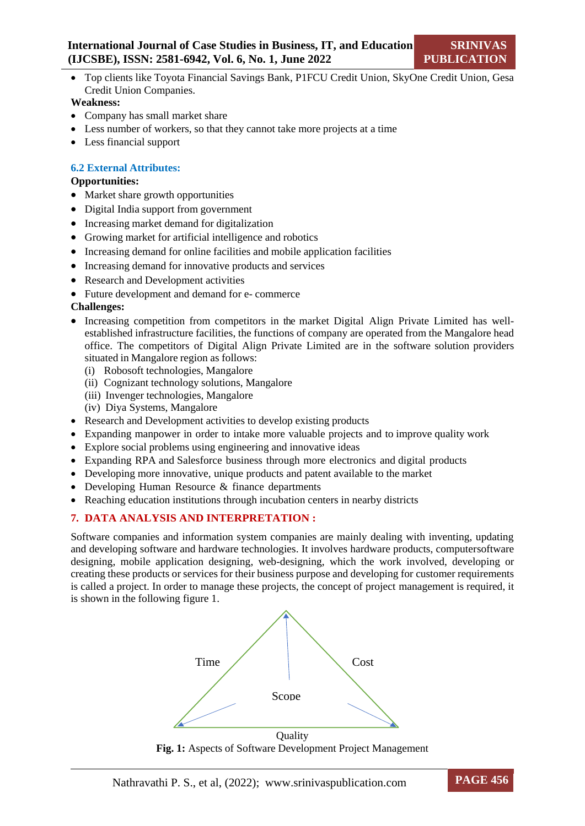Top clients like Toyota Financial Savings Bank, P1FCU Credit Union, SkyOne Credit Union, Gesa Credit Union Companies.

## **Weakness:**

- Company has small market share
- Less number of workers, so that they cannot take more projects at a time
- Less financial support

## **6.2 External Attributes:**

## **Opportunities:**

- Market share growth opportunities
- Digital India support from government
- Increasing market demand for digitalization
- Growing market for artificial intelligence and robotics
- Increasing demand for online facilities and mobile application facilities
- Increasing demand for innovative products and services
- Research and Development activities
- Future development and demand for e- commerce

## **Challenges:**

- Increasing competition from competitors in the market Digital Align Private Limited has wellestablished infrastructure facilities, the functions of company are operated from the Mangalore head office. The competitors of Digital Align Private Limited are in the software solution providers situated in Mangalore region as follows:
	- (i) Robosoft technologies, Mangalore
	- (ii) Cognizant technology solutions, Mangalore
	- (iii) Invenger technologies, Mangalore
	- (iv) Diya Systems, Mangalore
- Research and Development activities to develop existing products
- Expanding manpower in order to intake more valuable projects and to improve quality work
- Explore social problems using engineering and innovative ideas
- Expanding RPA and Salesforce business through more electronics and digital products
- Developing more innovative, unique products and patent available to the market
- Developing Human Resource & finance departments
- Reaching education institutions through incubation centers in nearby districts

## **7. DATA ANALYSIS AND INTERPRETATION :**

Software companies and information system companies are mainly dealing with inventing, updating and developing software and hardware technologies. It involves hardware products, computersoftware designing, mobile application designing, web-designing, which the work involved, developing or creating these products or services for their business purpose and developing for customer requirements is called a project. In order to manage these projects, the concept of project management is required, it is shown in the following figure 1.



**Fig. 1:** Aspects of Software Development Project Management

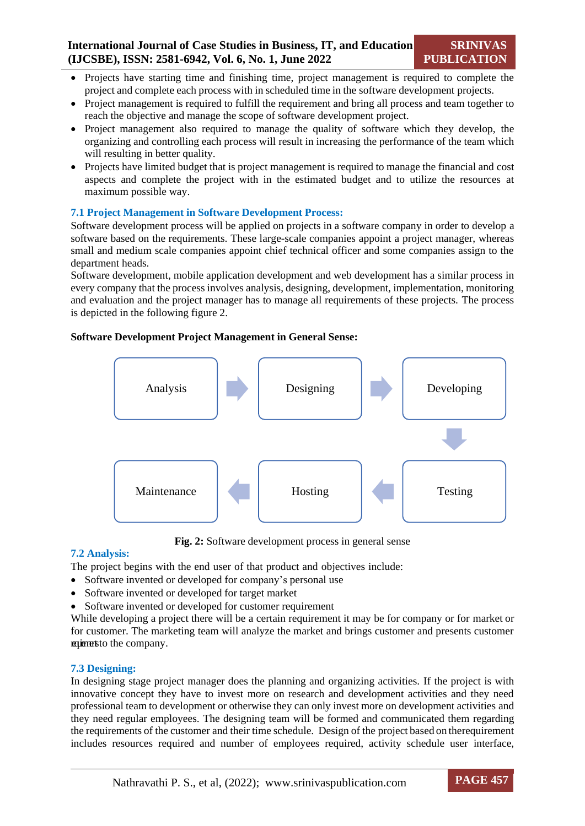- Projects have starting time and finishing time, project management is required to complete the project and complete each process with in scheduled time in the software development projects.
- Project management is required to fulfill the requirement and bring all process and team together to reach the objective and manage the scope of software development project.
- Project management also required to manage the quality of software which they develop, the organizing and controlling each process will result in increasing the performance of the team which will resulting in better quality.
- Projects have limited budget that is project management is required to manage the financial and cost aspects and complete the project with in the estimated budget and to utilize the resources at maximum possible way.

## **7.1 Project Management in Software Development Process:**

Software development process will be applied on projects in a software company in order to develop a software based on the requirements. These large-scale companies appoint a project manager, whereas small and medium scale companies appoint chief technical officer and some companies assign to the department heads.

Software development, mobile application development and web development has a similar process in every company that the process involves analysis, designing, development, implementation, monitoring and evaluation and the project manager has to manage all requirements of these projects. The process is depicted in the following figure 2.

## **Software Development Project Management in General Sense:**



**Fig. 2:** Software development process in general sense

## **7.2 Analysis:**

The project begins with the end user of that product and objectives include:

- Software invented or developed for company's personal use
- Software invented or developed for target market
- Software invented or developed for customer requirement

While developing a project there will be a certain requirement it may be for company or for market or for customer. The marketing team will analyze the market and brings customer and presents customer requirementsto the company.

## **7.3 Designing:**

In designing stage project manager does the planning and organizing activities. If the project is with innovative concept they have to invest more on research and development activities and they need professional team to development or otherwise they can only invest more on development activities and they need regular employees. The designing team will be formed and communicated them regarding the requirements of the customer and their time schedule. Design of the project based on therequirement includes resources required and number of employees required, activity schedule user interface,

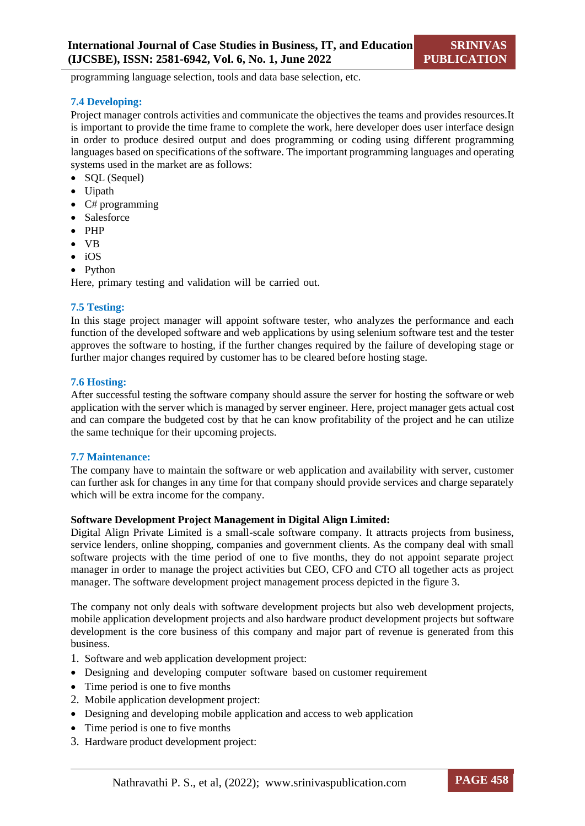programming language selection, tools and data base selection, etc.

#### **7.4 Developing:**

Project manager controls activities and communicate the objectives the teams and provides resources.It is important to provide the time frame to complete the work, here developer does user interface design in order to produce desired output and does programming or coding using different programming languages based on specifications of the software. The important programming languages and operating systems used in the market are as follows:

- SQL (Sequel)
- Uipath
- $\bullet$  C# programming
- Salesforce
- $\bullet$  PHP
- VB
- $\bullet$  iOS
- Python

Here, primary testing and validation will be carried out.

#### **7.5 Testing:**

In this stage project manager will appoint software tester, who analyzes the performance and each function of the developed software and web applications by using selenium software test and the tester approves the software to hosting, if the further changes required by the failure of developing stage or further major changes required by customer has to be cleared before hosting stage.

#### **7.6 Hosting:**

After successful testing the software company should assure the server for hosting the software or web application with the server which is managed by server engineer. Here, project manager gets actual cost and can compare the budgeted cost by that he can know profitability of the project and he can utilize the same technique for their upcoming projects.

#### **7.7 Maintenance:**

The company have to maintain the software or web application and availability with server, customer can further ask for changes in any time for that company should provide services and charge separately which will be extra income for the company.

#### **Software Development Project Management in Digital Align Limited:**

Digital Align Private Limited is a small-scale software company. It attracts projects from business, service lenders, online shopping, companies and government clients. As the company deal with small software projects with the time period of one to five months, they do not appoint separate project manager in order to manage the project activities but CEO, CFO and CTO all together acts as project manager. The software development project management process depicted in the figure 3.

The company not only deals with software development projects but also web development projects, mobile application development projects and also hardware product development projects but software development is the core business of this company and major part of revenue is generated from this business.

- 1. Software and web application development project:
- Designing and developing computer software based on customer requirement
- Time period is one to five months
- 2. Mobile application development project:
- Designing and developing mobile application and access to web application
- Time period is one to five months
- 3. Hardware product development project:

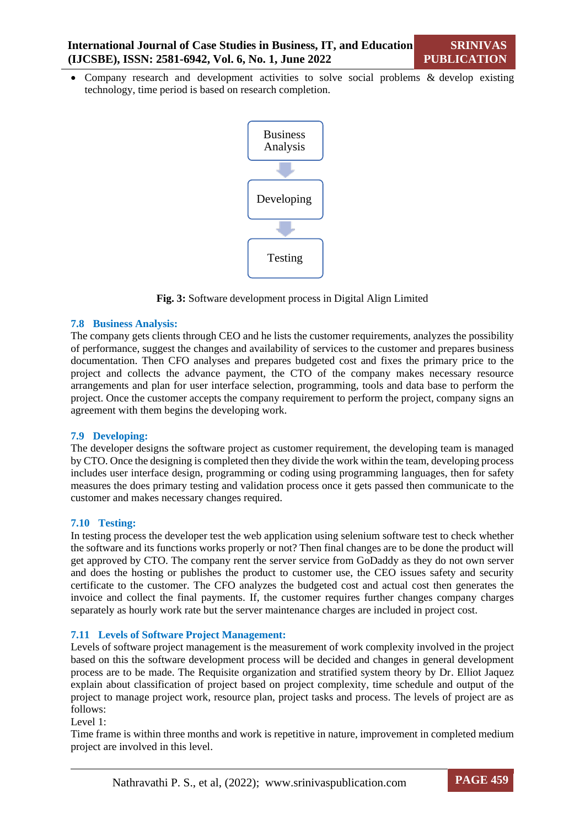• Company research and development activities to solve social problems & develop existing technology, time period is based on research completion.



**Fig. 3:** Software development process in Digital Align Limited

#### **7.8 Business Analysis:**

The company gets clients through CEO and he lists the customer requirements, analyzes the possibility of performance, suggest the changes and availability of services to the customer and prepares business documentation. Then CFO analyses and prepares budgeted cost and fixes the primary price to the project and collects the advance payment, the CTO of the company makes necessary resource arrangements and plan for user interface selection, programming, tools and data base to perform the project. Once the customer accepts the company requirement to perform the project, company signs an agreement with them begins the developing work.

#### **7.9 Developing:**

The developer designs the software project as customer requirement, the developing team is managed by CTO. Once the designing is completed then they divide the work within the team, developing process includes user interface design, programming or coding using programming languages, then for safety measures the does primary testing and validation process once it gets passed then communicate to the customer and makes necessary changes required.

#### **7.10 Testing:**

In testing process the developer test the web application using selenium software test to check whether the software and its functions works properly or not? Then final changes are to be done the product will get approved by CTO. The company rent the server service from GoDaddy as they do not own server and does the hosting or publishes the product to customer use, the CEO issues safety and security certificate to the customer. The CFO analyzes the budgeted cost and actual cost then generates the invoice and collect the final payments. If, the customer requires further changes company charges separately as hourly work rate but the server maintenance charges are included in project cost.

#### **7.11 Levels of Software Project Management:**

Levels of software project management is the measurement of work complexity involved in the project based on this the software development process will be decided and changes in general development process are to be made. The Requisite organization and stratified system theory by Dr. Elliot Jaquez explain about classification of project based on project complexity, time schedule and output of the project to manage project work, resource plan, project tasks and process. The levels of project are as follows:

Level 1:

Time frame is within three months and work is repetitive in nature, improvement in completed medium project are involved in this level.

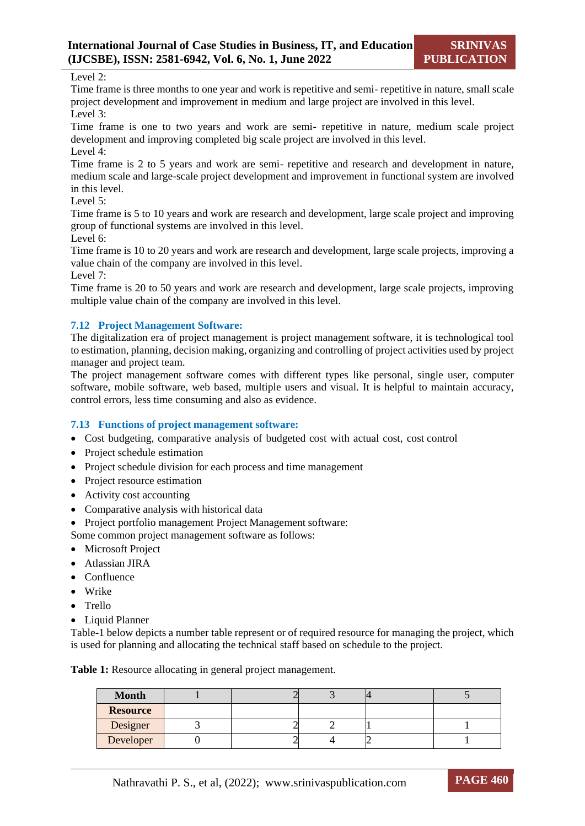#### Level 2:

Time frame is three months to one year and work is repetitive and semi- repetitive in nature, small scale project development and improvement in medium and large project are involved in this level. Level 3:

Time frame is one to two years and work are semi- repetitive in nature, medium scale project development and improving completed big scale project are involved in this level. Level 4:

Time frame is 2 to 5 years and work are semi- repetitive and research and development in nature, medium scale and large-scale project development and improvement in functional system are involved in this level.

Level 5:

Time frame is 5 to 10 years and work are research and development, large scale project and improving group of functional systems are involved in this level.

Level 6:

Time frame is 10 to 20 years and work are research and development, large scale projects, improving a value chain of the company are involved in this level.

Level 7:

Time frame is 20 to 50 years and work are research and development, large scale projects, improving multiple value chain of the company are involved in this level.

## **7.12 Project Management Software:**

The digitalization era of project management is project management software, it is technological tool to estimation, planning, decision making, organizing and controlling of project activities used by project manager and project team.

The project management software comes with different types like personal, single user, computer software, mobile software, web based, multiple users and visual. It is helpful to maintain accuracy, control errors, less time consuming and also as evidence.

#### **7.13 Functions of project management software:**

- Cost budgeting, comparative analysis of budgeted cost with actual cost, cost control
- Project schedule estimation
- Project schedule division for each process and time management
- Project resource estimation
- Activity cost accounting
- Comparative analysis with historical data
- Project portfolio management Project Management software:

Some common project management software as follows:

- Microsoft Project
- Atlassian JIRA
- Confluence
- Wrike
- Trello
- Liquid Planner

Table-1 below depicts a number table represent or of required resource for managing the project, which is used for planning and allocating the technical staff based on schedule to the project.

**Table 1:** Resource allocating in general project management.

| <b>Month</b>    |  |  |  |
|-----------------|--|--|--|
| <b>Resource</b> |  |  |  |
| Designer        |  |  |  |
| Developer       |  |  |  |

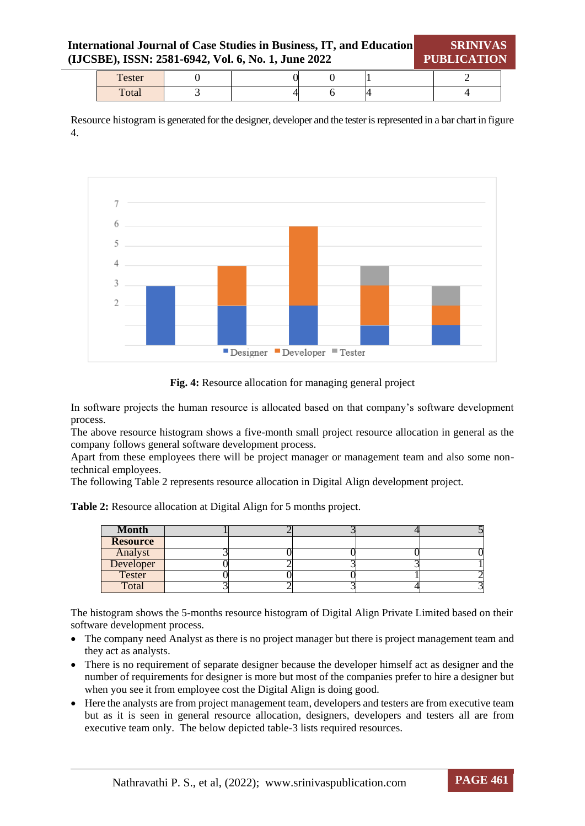| <b>International Journal of Case Studies in Business, IT, and Education</b><br>(IJCSBE), ISSN: 2581-6942, Vol. 6, No. 1, June 2022 |        |  |  |  |  |  | <b>PUBLICATION</b> | <b>SRINIVAS</b> |  |
|------------------------------------------------------------------------------------------------------------------------------------|--------|--|--|--|--|--|--------------------|-----------------|--|
|                                                                                                                                    | Tester |  |  |  |  |  |                    |                 |  |
|                                                                                                                                    | Total  |  |  |  |  |  |                    |                 |  |

Resource histogram is generated for the designer, developer and the tester is represented in a bar chart in figure 4.



**Fig. 4:** Resource allocation for managing general project

In software projects the human resource is allocated based on that company's software development process.

The above resource histogram shows a five-month small project resource allocation in general as the company follows general software development process.

Apart from these employees there will be project manager or management team and also some nontechnical employees.

The following Table 2 represents resource allocation in Digital Align development project.

|  | Table 2: Resource allocation at Digital Align for 5 months project. |  |  |  |  |  |  |
|--|---------------------------------------------------------------------|--|--|--|--|--|--|
|--|---------------------------------------------------------------------|--|--|--|--|--|--|

| <b>Month</b>    |  |  |  |
|-----------------|--|--|--|
| <b>Resource</b> |  |  |  |
| Analyst         |  |  |  |
| Developer       |  |  |  |
| <b>Tester</b>   |  |  |  |
| <b>Total</b>    |  |  |  |

The histogram shows the 5-months resource histogram of Digital Align Private Limited based on their software development process.

- The company need Analyst as there is no project manager but there is project management team and they act as analysts.
- There is no requirement of separate designer because the developer himself act as designer and the number of requirements for designer is more but most of the companies prefer to hire a designer but when you see it from employee cost the Digital Align is doing good.
- Here the analysts are from project management team, developers and testers are from executive team but as it is seen in general resource allocation, designers, developers and testers all are from executive team only. The below depicted table-3 lists required resources.

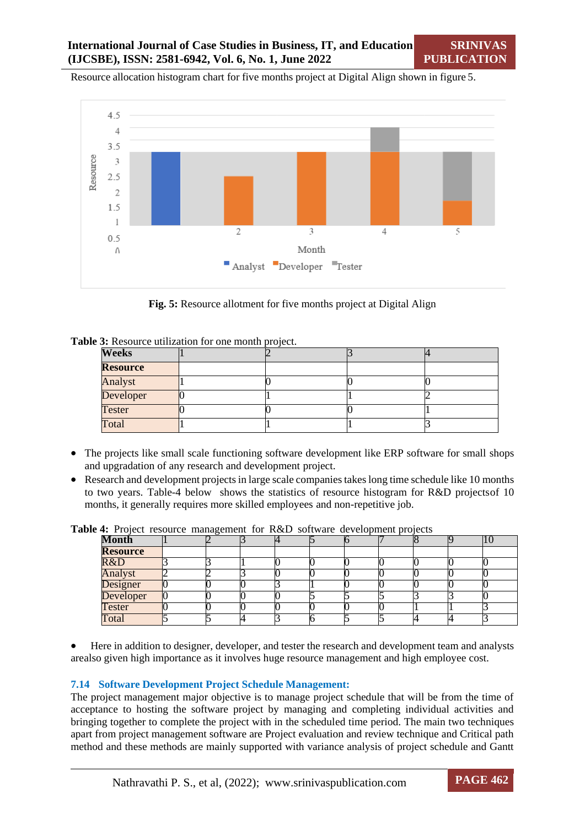**SRINIVAS PUBLICATION**

Resource allocation histogram chart for five months project at Digital Align shown in figure 5.



**Fig. 5:** Resource allotment for five months project at Digital Align

|  |  | Table 3: Resource utilization for one month project. |  |  |  |
|--|--|------------------------------------------------------|--|--|--|
|--|--|------------------------------------------------------|--|--|--|

| <b>Weeks</b>    |  |  |
|-----------------|--|--|
| <b>Resource</b> |  |  |
| Analyst         |  |  |
| Developer       |  |  |
| <b>Tester</b>   |  |  |
| Total           |  |  |

- The projects like small scale functioning software development like ERP software for small shops and upgradation of any research and development project.
- Research and development projects in large scale companies takes long time schedule like 10 months to two years. Table-4 below shows the statistics of resource histogram for R&D projectsof 10 months, it generally requires more skilled employees and non-repetitive job.

**Table 4:** Project resource management for R&D software development projects

| Month           |  |  |  |  |  |
|-----------------|--|--|--|--|--|
| <b>Resource</b> |  |  |  |  |  |
| R&D             |  |  |  |  |  |
| Analyst         |  |  |  |  |  |
| Designer        |  |  |  |  |  |
| Developer       |  |  |  |  |  |
| <b>Tester</b>   |  |  |  |  |  |
| Total           |  |  |  |  |  |

 Here in addition to designer, developer, and tester the research and development team and analysts arealso given high importance as it involves huge resource management and high employee cost.

#### **7.14 Software Development Project Schedule Management:**

The project management major objective is to manage project schedule that will be from the time of acceptance to hosting the software project by managing and completing individual activities and bringing together to complete the project with in the scheduled time period. The main two techniques apart from project management software are Project evaluation and review technique and Critical path method and these methods are mainly supported with variance analysis of project schedule and Gantt

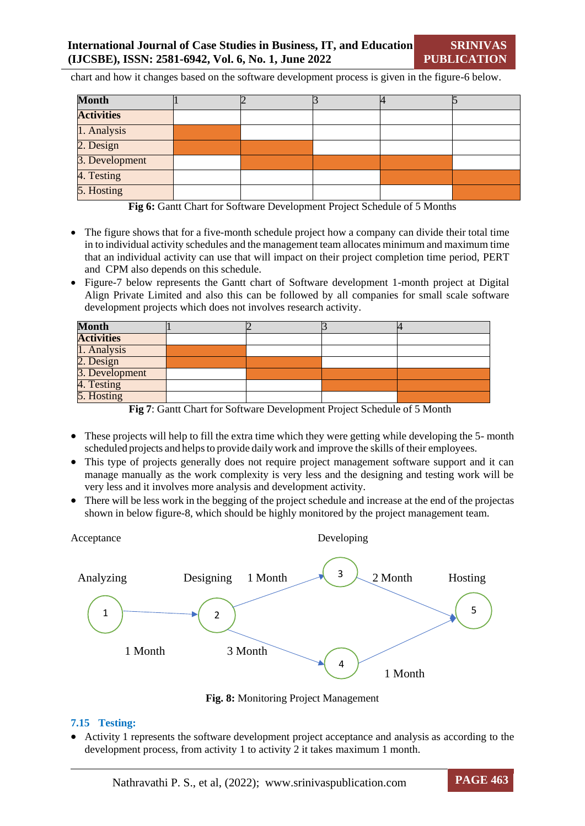chart and how it changes based on the software development process is given in the figure-6 below.

| <b>Month</b>      |  |  |  |
|-------------------|--|--|--|
| <b>Activities</b> |  |  |  |
| 1. Analysis       |  |  |  |
| 2. Design         |  |  |  |
| 3. Development    |  |  |  |
| 4. Testing        |  |  |  |
| 5. Hosting        |  |  |  |

**Fig 6:** Gantt Chart for Software Development Project Schedule of 5 Months

- The figure shows that for a five-month schedule project how a company can divide their total time in to individual activity schedules and the management team allocates minimum and maximum time that an individual activity can use that will impact on their project completion time period, PERT and CPM also depends on this schedule.
- Figure-7 below represents the Gantt chart of Software development 1-month project at Digital Align Private Limited and also this can be followed by all companies for small scale software development projects which does not involves research activity.

| <b>Month</b>      |  |  |
|-------------------|--|--|
| <b>Activities</b> |  |  |
| 1. Analysis       |  |  |
| 2. Design         |  |  |
| 3. Development    |  |  |
| 4. Testing        |  |  |
| 5. Hosting        |  |  |

**Fig 7**: Gantt Chart for Software Development Project Schedule of 5 Month

- These projects will help to fill the extra time which they were getting while developing the 5- month scheduled projects and helps to provide daily work and improve the skills of their employees.
- This type of projects generally does not require project management software support and it can manage manually as the work complexity is very less and the designing and testing work will be very less and it involves more analysis and development activity.
- There will be less work in the begging of the project schedule and increase at the end of the projectas shown in below figure-8, which should be highly monitored by the project management team.



**Fig. 8:** Monitoring Project Management

#### **7.15 Testing:**

 Activity 1 represents the software development project acceptance and analysis as according to the development process, from activity 1 to activity 2 it takes maximum 1 month.

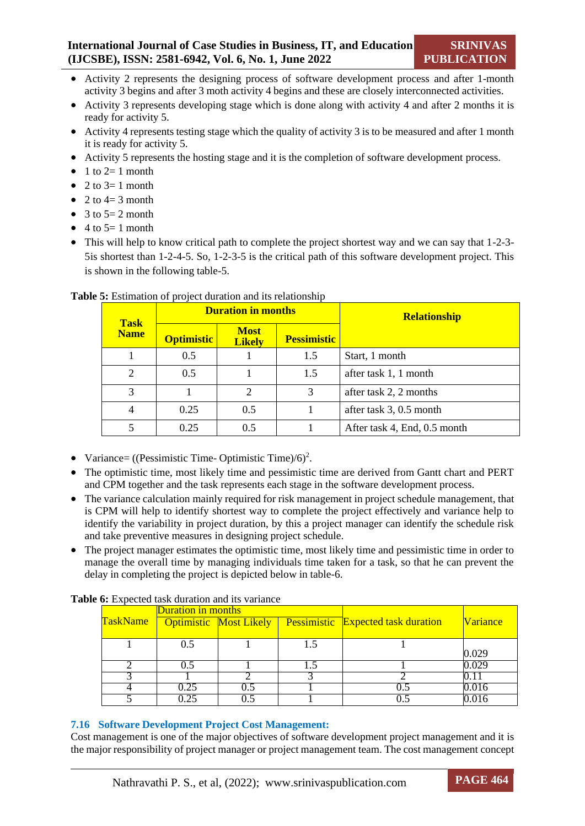- Activity 2 represents the designing process of software development process and after 1-month activity 3 begins and after 3 moth activity 4 begins and these are closely interconnected activities.
- Activity 3 represents developing stage which is done along with activity 4 and after 2 months it is ready for activity 5.
- Activity 4 represents testing stage which the quality of activity 3 is to be measured and after 1 month it is ready for activity 5.
- Activity 5 represents the hosting stage and it is the completion of software development process.
- $\bullet$  1 to 2= 1 month
- $\bullet$  2 to 3= 1 month
- $\bullet$  2 to 4= 3 month
- $\bullet$  3 to 5= 2 month
- $\bullet$  4 to 5= 1 month
- This will help to know critical path to complete the project shortest way and we can say that 1-2-3-5is shortest than 1-2-4-5. So, 1-2-3-5 is the critical path of this software development project. This is shown in the following table-5.

|                            |                   | <b>Duration in months</b>    |                    | <b>Relationship</b>          |  |
|----------------------------|-------------------|------------------------------|--------------------|------------------------------|--|
| <b>Task</b><br><b>Name</b> | <b>Optimistic</b> | <b>Most</b><br><b>Likely</b> | <b>Pessimistic</b> |                              |  |
|                            | 0.5               |                              | 1.5                | Start, 1 month               |  |
| $\overline{c}$             | 0.5               |                              | 1.5                | after task 1, 1 month        |  |
| 3                          |                   | $\overline{2}$               | 3                  | after task 2, 2 months       |  |
|                            | 0.25              | 0.5                          |                    | after task 3, 0.5 month      |  |
|                            | 0.25              | 0.5                          |                    | After task 4, End, 0.5 month |  |

#### **Table 5:** Estimation of project duration and its relationship

- Variance= ((Pessimistic Time- Optimistic Time)/6)<sup>2</sup>.
- The optimistic time, most likely time and pessimistic time are derived from Gantt chart and PERT and CPM together and the task represents each stage in the software development process.
- The variance calculation mainly required for risk management in project schedule management, that is CPM will help to identify shortest way to complete the project effectively and variance help to identify the variability in project duration, by this a project manager can identify the schedule risk and take preventive measures in designing project schedule.
- The project manager estimates the optimistic time, most likely time and pessimistic time in order to manage the overall time by managing individuals time taken for a task, so that he can prevent the delay in completing the project is depicted below in table-6.

|                 | <b>Duration in months</b> |                               |     |                                           |                 |
|-----------------|---------------------------|-------------------------------|-----|-------------------------------------------|-----------------|
| <b>TaskName</b> |                           | <b>Optimistic Most Likely</b> |     | <b>Pessimistic</b> Expected task duration | <b>Variance</b> |
|                 |                           |                               |     |                                           |                 |
|                 | 0.5                       |                               | 1.5 |                                           |                 |
|                 |                           |                               |     |                                           | 0.029           |
|                 | 0.5                       |                               |     |                                           | 0.029           |
|                 |                           |                               |     |                                           |                 |
|                 | 0.25                      |                               |     | 0.5                                       | 0.016           |
|                 | 25                        |                               |     |                                           |                 |

#### **Table 6:** Expected task duration and its variance

## **7.16 Software Development Project Cost Management:**

Cost management is one of the major objectives of software development project management and it is the major responsibility of project manager or project management team. The cost management concept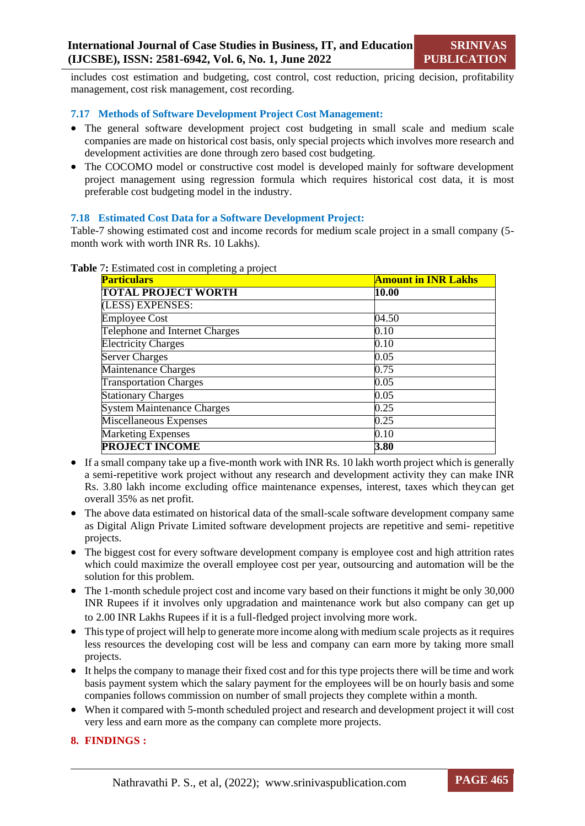includes cost estimation and budgeting, cost control, cost reduction, pricing decision, profitability management, cost risk management, cost recording.

## **7.17 Methods of Software Development Project Cost Management:**

- The general software development project cost budgeting in small scale and medium scale companies are made on historical cost basis, only special projects which involves more research and development activities are done through zero based cost budgeting.
- The COCOMO model or constructive cost model is developed mainly for software development project management using regression formula which requires historical cost data, it is most preferable cost budgeting model in the industry.

## **7.18 Estimated Cost Data for a Software Development Project:**

Table-7 showing estimated cost and income records for medium scale project in a small company (5 month work with worth INR Rs. 10 Lakhs).

| <b>Particulars</b>                | <b>Amount in INR Lakhs</b> |
|-----------------------------------|----------------------------|
| <b>TOTAL PROJECT WORTH</b>        | 10.00                      |
| (LESS) EXPENSES:                  |                            |
| <b>Employee Cost</b>              | 04.50                      |
| Telephone and Internet Charges    | 0.10                       |
| <b>Electricity Charges</b>        | 0.10                       |
| <b>Server Charges</b>             | 0.05                       |
| <b>Maintenance Charges</b>        | 0.75                       |
| <b>Transportation Charges</b>     | 0.05                       |
| <b>Stationary Charges</b>         | 0.05                       |
| <b>System Maintenance Charges</b> | 0.25                       |
| <b>Miscellaneous Expenses</b>     | 0.25                       |
| <b>Marketing Expenses</b>         | 0.10                       |
| <b>PROJECT INCOME</b>             | 3.80                       |

#### **Table** 7**:** Estimated cost in completing a project

- If a small company take up a five-month work with INR Rs. 10 lakh worth project which is generally a semi-repetitive work project without any research and development activity they can make INR Rs. 3.80 lakh income excluding office maintenance expenses, interest, taxes which theycan get overall 35% as net profit.
- The above data estimated on historical data of the small-scale software development company same as Digital Align Private Limited software development projects are repetitive and semi- repetitive projects.
- The biggest cost for every software development company is employee cost and high attrition rates which could maximize the overall employee cost per year, outsourcing and automation will be the solution for this problem.
- The 1-month schedule project cost and income vary based on their functions it might be only 30,000 INR Rupees if it involves only upgradation and maintenance work but also company can get up to 2.00 INR Lakhs Rupees if it is a full-fledged project involving more work.
- Thistype of project will help to generate more income along with medium scale projects as it requires less resources the developing cost will be less and company can earn more by taking more small projects.
- It helps the company to manage their fixed cost and for this type projects there will be time and work basis payment system which the salary payment for the employees will be on hourly basis and some companies follows commission on number of small projects they complete within a month.
- When it compared with 5-month scheduled project and research and development project it will cost very less and earn more as the company can complete more projects.

## **8. FINDINGS :**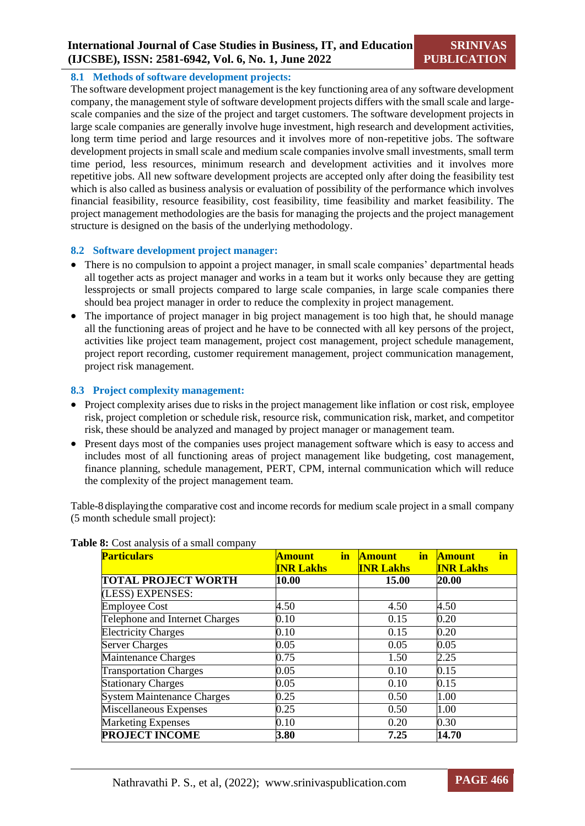#### **8.1 Methods of software development projects:**

The software development project management is the key functioning area of any software development company, the management style of software development projects differs with the small scale and largescale companies and the size of the project and target customers. The software development projects in large scale companies are generally involve huge investment, high research and development activities, long term time period and large resources and it involves more of non-repetitive jobs. The software development projects in small scale and medium scale companies involve small investments, small term time period, less resources, minimum research and development activities and it involves more repetitive jobs. All new software development projects are accepted only after doing the feasibility test which is also called as business analysis or evaluation of possibility of the performance which involves financial feasibility, resource feasibility, cost feasibility, time feasibility and market feasibility. The project management methodologies are the basis for managing the projects and the project management structure is designed on the basis of the underlying methodology.

#### **8.2 Software development project manager:**

- There is no compulsion to appoint a project manager, in small scale companies' departmental heads all together acts as project manager and works in a team but it works only because they are getting lessprojects or small projects compared to large scale companies, in large scale companies there should bea project manager in order to reduce the complexity in project management.
- The importance of project manager in big project management is too high that, he should manage all the functioning areas of project and he have to be connected with all key persons of the project, activities like project team management, project cost management, project schedule management, project report recording, customer requirement management, project communication management, project risk management.

## **8.3 Project complexity management:**

- Project complexity arises due to risks in the project management like inflation or cost risk, employee risk, project completion or schedule risk, resource risk, communication risk, market, and competitor risk, these should be analyzed and managed by project manager or management team.
- Present days most of the companies uses project management software which is easy to access and includes most of all functioning areas of project management like budgeting, cost management, finance planning, schedule management, PERT, CPM, internal communication which will reduce the complexity of the project management team.

Table-8 displaying the comparative cost and income records for medium scale project in a small company (5 month schedule small project):

| <b>Particulars</b>                | in<br><b>Amount</b> | in<br><b>Amount</b> | in<br><b>Amount</b> |
|-----------------------------------|---------------------|---------------------|---------------------|
|                                   | <b>INR Lakhs</b>    | <b>INR Lakhs</b>    | <b>INR Lakhs</b>    |
| <b>TOTAL PROJECT WORTH</b>        | 10.00               | <b>15.00</b>        | 20.00               |
| (LESS) EXPENSES:                  |                     |                     |                     |
| <b>Employee Cost</b>              | 4.50                | 4.50                | 4.50                |
| Telephone and Internet Charges    | 0.10                | 0.15                | 0.20                |
| <b>Electricity Charges</b>        | 0.10                | 0.15                | 0.20                |
| <b>Server Charges</b>             | 0.05                | 0.05                | 0.05                |
| Maintenance Charges               | 0.75                | 1.50                | 2.25                |
| <b>Transportation Charges</b>     | 0.05                | 0.10                | 0.15                |
| <b>Stationary Charges</b>         | 0.05                | 0.10                | 0.15                |
| <b>System Maintenance Charges</b> | 0.25                | 0.50                | 1.00                |
| Miscellaneous Expenses            | 0.25                | 0.50                | 1.00                |
| <b>Marketing Expenses</b>         | 0.10                | 0.20                | 0.30                |
| <b>PROJECT INCOME</b>             | 3.80                | 7.25                | 14.70               |

### **Table 8:** Cost analysis of a small company

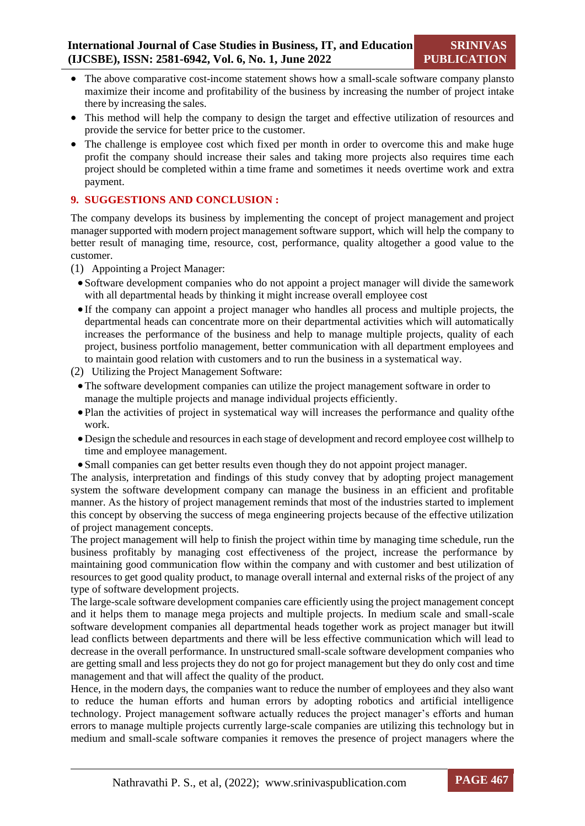- The above comparative cost-income statement shows how a small-scale software company plansto maximize their income and profitability of the business by increasing the number of project intake there by increasing the sales.
- This method will help the company to design the target and effective utilization of resources and provide the service for better price to the customer.
- The challenge is employee cost which fixed per month in order to overcome this and make huge profit the company should increase their sales and taking more projects also requires time each project should be completed within a time frame and sometimes it needs overtime work and extra payment.

## **9. SUGGESTIONS AND CONCLUSION :**

The company develops its business by implementing the concept of project management and project manager supported with modern project management software support, which will help the company to better result of managing time, resource, cost, performance, quality altogether a good value to the customer.

- (1) Appointing a Project Manager:
	- Software development companies who do not appoint a project manager will divide the samework with all departmental heads by thinking it might increase overall employee cost
	- If the company can appoint a project manager who handles all process and multiple projects, the departmental heads can concentrate more on their departmental activities which will automatically increases the performance of the business and help to manage multiple projects, quality of each project, business portfolio management, better communication with all department employees and to maintain good relation with customers and to run the business in a systematical way.
- (2) Utilizing the Project Management Software:
	- The software development companies can utilize the project management software in order to manage the multiple projects and manage individual projects efficiently.
	- Plan the activities of project in systematical way will increases the performance and quality ofthe work.
	- Design the schedule and resourcesin each stage of development and record employee cost willhelp to time and employee management.
	- Small companies can get better results even though they do not appoint project manager.

The analysis, interpretation and findings of this study convey that by adopting project management system the software development company can manage the business in an efficient and profitable manner. As the history of project management reminds that most of the industries started to implement this concept by observing the success of mega engineering projects because of the effective utilization of project management concepts.

The project management will help to finish the project within time by managing time schedule, run the business profitably by managing cost effectiveness of the project, increase the performance by maintaining good communication flow within the company and with customer and best utilization of resources to get good quality product, to manage overall internal and external risks of the project of any type of software development projects.

The large-scale software development companies care efficiently using the project management concept and it helps them to manage mega projects and multiple projects. In medium scale and small-scale software development companies all departmental heads together work as project manager but itwill lead conflicts between departments and there will be less effective communication which will lead to decrease in the overall performance. In unstructured small-scale software development companies who are getting small and less projects they do not go for project management but they do only cost and time management and that will affect the quality of the product.

Hence, in the modern days, the companies want to reduce the number of employees and they also want to reduce the human efforts and human errors by adopting robotics and artificial intelligence technology. Project management software actually reduces the project manager's efforts and human errors to manage multiple projects currently large-scale companies are utilizing this technology but in medium and small-scale software companies it removes the presence of project managers where the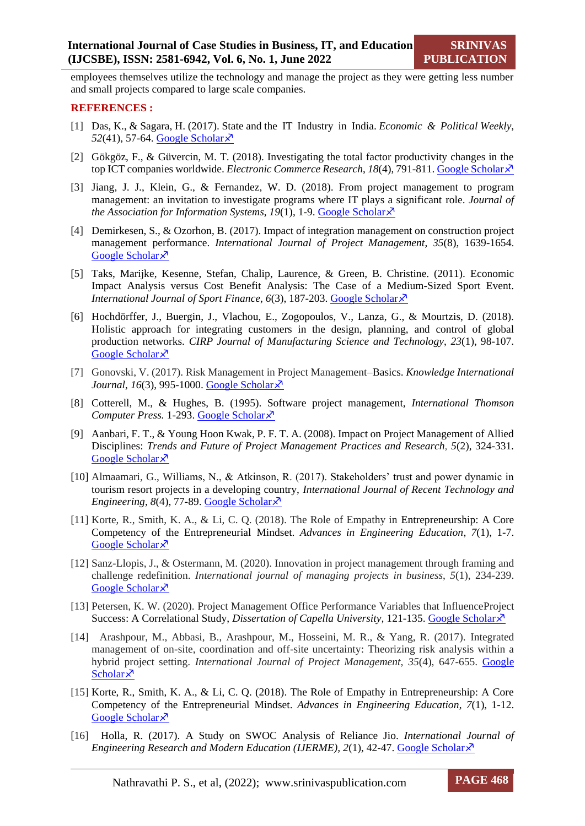employees themselves utilize the technology and manage the project as they were getting less number and small projects compared to large scale companies.

#### **REFERENCES :**

- [1] Das, K., & Sagara, H. (2017). State and the IT Industry in India. *Economic & Political Weekly*, *52*(41), 57-64. [Google Scholar](https://www.researchgate.net/profile/Hastimal-Sagara-2/publication/320540143_State_and_the_IT_industry_in_India_An_overview/links/5e99af6f299bf13079a20ff3/State-and-the-IT-industry-in-India-An-overview.pdf)
- [2] Gökgöz, F., & Güvercin, M. T. (2018). Investigating the total factor productivity changes in the top ICT companies worldwide. *Electronic Commerce Research*, *18*(4), 791-811. [Google Scholar](https://link.springer.com/article/10.1007/s10660-017-9285-4)
- [3] Jiang, J. J., Klein, G., & Fernandez, W. D. (2018). From project management to program management: an invitation to investigate programs where IT plays a significant role. *Journal of the Association for Information Systems,*  $19(1)$ *, 1-9. [Google Scholar](https://aisel.aisnet.org/jais/vol19/iss1/1/)* $\overline{\mathsf{x}}$
- [4] Demirkesen, S., & Ozorhon, B. (2017). Impact of integration management on construction project management performance. *International Journal of Project Management*, *35*(8), 1639-1654. [Google Scholar](https://www.sciencedirect.com/science/article/pii/S0263786317300029) ×
- [5] Taks, Marijke, Kesenne, Stefan, Chalip, Laurence, & Green, B. Christine. (2011). Economic Impact Analysis versus Cost Benefit Analysis: The Case of a Medium-Sized Sport Event. *International Journal of Sport Finance*, *6*(3), 187-203. [Google Scholar](https://scholar.uwindsor.ca/humankineticspub/20/)
- [6] Hochdörffer, J., Buergin, J., Vlachou, E., Zogopoulos, V., Lanza, G., & Mourtzis, D. (2018). Holistic approach for integrating customers in the design, planning, and control of global production networks. *CIRP Journal of Manufacturing Science and Technology*, *23*(1), 98-107. [Google Scholar](https://www.sciencedirect.com/science/article/pii/S1755581718300440) ×
- [7] Gonovski, V. (2017). Risk Management in Project Management–Basics. *Knowledge International Journal*, *16*(3), 995-1000. [Google Scholar](http://ikm.mk/ojs/index.php/kij/article/view/4271)  $\lambda$
- [8] Cotterell, M., & Hughes, B. (1995). Software project management, *International Thomson Computer Press.* 1-293. Google [Scholar](https://books.google.com/books?hl=en&lr=&id=LaeKKjV8on8C&oi=fnd&pg=PR12&dq=%5B8%5D%09Cotterell,+M.,+%26+Hughes,+B.+(1995).+Software+project+management,+International+Thomson+Computer+Press&ots=oO6ce0IjWz&sig=tQS3r6A4cllEKYGEIc2SDZVaxIY)
- [9] Aanbari, F. T., & Young Hoon Kwak, P. F. T. A. (2008). Impact on Project Management of Allied Disciplines: *Trends and Future of Project Management Practices and Research, 5*(2), 324-331*.*  [Google Scholar](https://books.google.com/books?hl=en&lr=&id=B-dhDwAAQBAJ&oi=fnd&pg=PT18&dq=%5B9%5D%09Aanbari,+F.+T.,+%26+Young+Hoon+Kwak,+P.+F.+T.+A.+(2008).+Impact+on+Project+Management+of+Allied+Disciplines:+Trends+and+Future+of+Project+Management+Practices+and+Research,+5(2),+324-331.+&ots=zZshB_LSRA&sig=kPgiCPUdg_tljjj5or4AoJX1vi8) ×
- [10] Almaamari, G., Williams, N., & Atkinson, R. (2017). Stakeholders' trust and power dynamic in tourism resort projects in a developing country, *International Journal of Recent Technology and Engineering*,  $8(4)$ , 77-89. [Google Scholar](http://www.otmc-conference.com/wp-content/uploads/2019/09/GHASAN-ALMAAMARI-Stakeholders%E2%80%99-trust-and-power-dynamic-in-tourism-resort-projects-in-a-developing-country.pdf) $\chi$ <sup>7</sup>
- [11] Korte, R., Smith, K. A., & Li, C. Q. (2018). The Role of Empathy in Entrepreneurship: A Core Competency of the Entrepreneurial Mindset. *Advances in Engineering Education*, *7*(1), 1-7. [Google Scholar](https://eric.ed.gov/?id=EJ1199603) ×
- [12] Sanz-Llopis, J., & Ostermann, M. (2020). Innovation in project management through framing and challenge redefinition. *International journal of managing projects in business*, *5*(1), 234-239. [Google Scholar](https://www.emerald.com/insight/content/doi/10.1108/IJMPB-08-2019-0210/full/html) ×
- [13] Petersen, K. W. (2020). Project Management Office Performance Variables that InfluenceProject Success: A Correlational Study, *Dissertation of Capella University,* 121-135. [Google Scholar](https://search.proquest.com/openview/6f9c296d5629169d6c1fa18496460d84/1?pq-origsite=gscholar&cbl=18750&diss=y)
- [14] Arashpour, M., Abbasi, B., Arashpour, M., Hosseini, M. R., & Yang, R. (2017). Integrated management of on-site, coordination and off-site uncertainty: Theorizing risk analysis within a hybrid project setting. *International Journal of Project Management, 35*(4), 647-655. [Google](https://www.sciencedirect.com/science/article/pii/S0263786317302375)  [Scholar](https://www.sciencedirect.com/science/article/pii/S0263786317302375) $\lambda$
- [15] Korte, R., Smith, K. A., & Li, C. Q. (2018). The Role of Empathy in Entrepreneurship: A Core Competency of the Entrepreneurial Mindset. *Advances in Engineering Education*, *7*(1), 1-12. [Google Scholar](https://eric.ed.gov/?id=EJ1199603) ×
- [16] Holla, R. (2017). A Study on SWOC Analysis of Reliance Jio. *International Journal of Engineering Research and Modern Education (IJERME), 2*(1), 42-47. [Google Scholar](https://papers.ssrn.com/sol3/papers.cfm?abstract_id=2960499)